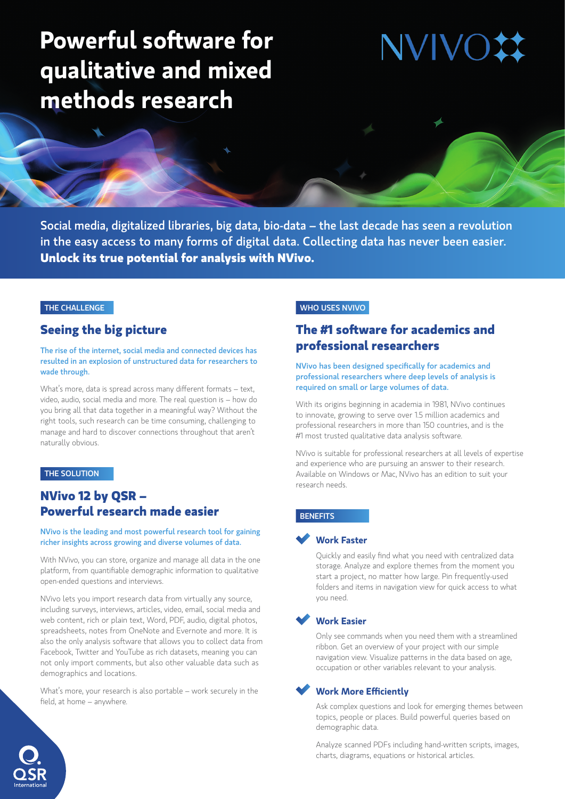# **Powerful software for qualitative and mixed methods research**

**NVIVC** 

Social media, digitalized libraries, big data, bio-data – the last decade has seen a revolution in the easy access to many forms of digital data. Collecting data has never been easier. **Unlock its true potential for analysis with NVivo.**

### THE CHALLENGE

### **Seeing the big picture**

### The rise of the internet, social media and connected devices has resulted in an explosion of unstructured data for researchers to wade through.

What's more, data is spread across many different formats – text, video, audio, social media and more. The real question is – how do you bring all that data together in a meaningful way? Without the right tools, such research can be time consuming, challenging to manage and hard to discover connections throughout that aren't naturally obvious.

### THE SOLUTION

# **NVivo 12 by QSR – Powerful research made easier**

#### NVivo is the leading and most powerful research tool for gaining richer insights across growing and diverse volumes of data.

With NVivo, you can store, organize and manage all data in the one platform, from quantifiable demographic information to qualitative open-ended questions and interviews.

NVivo lets you import research data from virtually any source, including surveys, interviews, articles, video, email, social media and web content, rich or plain text, Word, PDF, audio, digital photos, spreadsheets, notes from OneNote and Evernote and more. It is also the only analysis software that allows you to collect data from Facebook, Twitter and YouTube as rich datasets, meaning you can not only import comments, but also other valuable data such as demographics and locations.

What's more, your research is also portable – work securely in the field, at home – anywhere.

### WHO USES NVIVO

# **The #1 software for academics and professional researchers**

### NVivo has been designed specifically for academics and professional researchers where deep levels of analysis is required on small or large volumes of data.

With its origins beginning in academia in 1981, NVivo continues to innovate, growing to serve over 1.5 million academics and professional researchers in more than 150 countries, and is the #1 most trusted qualitative data analysis software.

NVivo is suitable for professional researchers at all levels of expertise and experience who are pursuing an answer to their research. Available on Windows or Mac, NVivo has an edition to suit your research needs.

### **BENEFITS**

### **Work Faster**

Quickly and easily find what you need with centralized data storage. Analyze and explore themes from the moment you start a project, no matter how large. Pin frequently-used folders and items in navigation view for quick access to what you need.

### **Work Easier**

Only see commands when you need them with a streamlined ribbon. Get an overview of your project with our simple navigation view. Visualize patterns in the data based on age, occupation or other variables relevant to your analysis.

### **Work More Efficiently**

Ask complex questions and look for emerging themes between topics, people or places. Build powerful queries based on demographic data.

Analyze scanned PDFs including hand-written scripts, images, charts, diagrams, equations or historical articles.